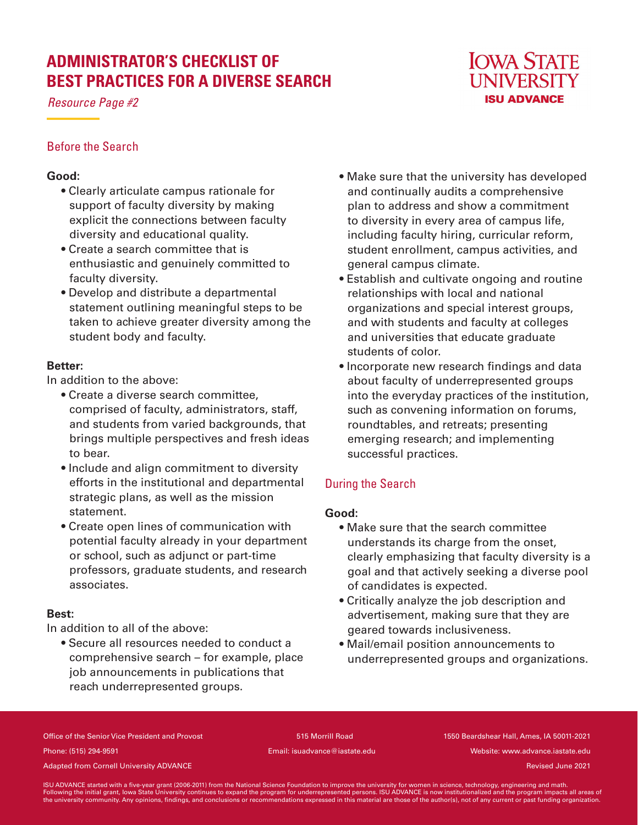# **ADMINISTRATOR'S CHECKLIST OF BEST PRACTICES FOR A DIVERSE SEARCH**

*Resource Page #2*

## **IOWA STATE UNIVERSITY ISU ADVANCE**

## Before the Search

## **Good:**

- Clearly articulate campus rationale for support of faculty diversity by making explicit the connections between faculty diversity and educational quality.
- Create a search committee that is enthusiastic and genuinely committed to faculty diversity.
- Develop and distribute a departmental statement outlining meaningful steps to be taken to achieve greater diversity among the student body and faculty.

## **Better:**

In addition to the above:

- Create a diverse search committee, comprised of faculty, administrators, staff, and students from varied backgrounds, that brings multiple perspectives and fresh ideas to bear.
- Include and align commitment to diversity efforts in the institutional and departmental strategic plans, as well as the mission statement.
- Create open lines of communication with potential faculty already in your department or school, such as adjunct or part-time professors, graduate students, and research associates.

## **Best:**

In addition to all of the above:

• Secure all resources needed to conduct a comprehensive search – for example, place job announcements in publications that reach underrepresented groups.

- Make sure that the university has developed and continually audits a comprehensive plan to address and show a commitment to diversity in every area of campus life, including faculty hiring, curricular reform, student enrollment, campus activities, and general campus climate.
- Establish and cultivate ongoing and routine relationships with local and national organizations and special interest groups, and with students and faculty at colleges and universities that educate graduate students of color.
- Incorporate new research findings and data about faculty of underrepresented groups into the everyday practices of the institution, such as convening information on forums, roundtables, and retreats; presenting emerging research; and implementing successful practices.

## During the Search

## **Good:**

- Make sure that the search committee understands its charge from the onset, clearly emphasizing that faculty diversity is a goal and that actively seeking a diverse pool of candidates is expected.
- Critically analyze the job description and advertisement, making sure that they are geared towards inclusiveness.
- Mail/email position announcements to underrepresented groups and organizations.

Office of the Senior Vice President and Provost 515 Morrill Road 1550 Beardshear Hall, Ames, IA 50011-2021 Phone: (515) 294-9591 Email: isuadvance@iastate.edu Website: www.advance.iastate.edu

Adapted from Cornell University ADVANCE and the cornell of the cornell of the cornell University ADVANCE and the cornell of the cornell University ADVANCE and the cornell of the cornell of the cornell of the cornell of the

ISU ADVANCE started with a five-year grant (2006-2011) from the National Science Foundation to improve the university for women in science, technology, engineering and math.<br>Following the initial grant, lowa State Universi the university community. Any opinions, findings, and conclusions or recommendations expressed in this material are those of the author(s), not of any current or past funding organization.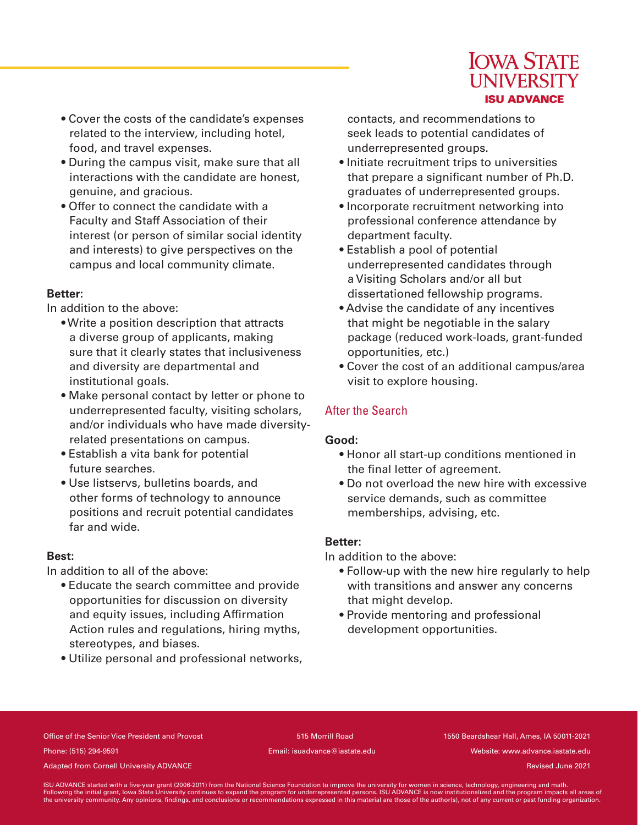

- Cover the costs of the candidate's expenses related to the interview, including hotel, food, and travel expenses.
- During the campus visit, make sure that all interactions with the candidate are honest, genuine, and gracious.
- Offer to connect the candidate with a Faculty and Staff Association of their interest (or person of similar social identity and interests) to give perspectives on the campus and local community climate.

#### **Better:**

In addition to the above:

- Write a position description that attracts a diverse group of applicants, making sure that it clearly states that inclusiveness and diversity are departmental and institutional goals.
- Make personal contact by letter or phone to underrepresented faculty, visiting scholars, and/or individuals who have made diversityrelated presentations on campus.
- Establish a vita bank for potential future searches.
- Use listservs, bulletins boards, and other forms of technology to announce positions and recruit potential candidates far and wide.

#### **Best:**

In addition to all of the above:

- Educate the search committee and provide opportunities for discussion on diversity and equity issues, including Affirmation Action rules and regulations, hiring myths, stereotypes, and biases.
- Utilize personal and professional networks,

contacts, and recommendations to seek leads to potential candidates of underrepresented groups.

- Initiate recruitment trips to universities that prepare a significant number of Ph.D. graduates of underrepresented groups.
- Incorporate recruitment networking into professional conference attendance by department faculty.
- Establish a pool of potential underrepresented candidates through a Visiting Scholars and/or all but dissertationed fellowship programs.
- Advise the candidate of any incentives that might be negotiable in the salary package (reduced work-loads, grant-funded opportunities, etc.)
- Cover the cost of an additional campus/area visit to explore housing.

## After the Search

#### **Good:**

- Honor all start-up conditions mentioned in the final letter of agreement.
- Do not overload the new hire with excessive service demands, such as committee memberships, advising, etc.

#### **Better:**

In addition to the above:

- Follow-up with the new hire regularly to help with transitions and answer any concerns that might develop.
- Provide mentoring and professional development opportunities.

Office of the Senior Vice President and Provost 515 Morrill Road 1550 Beardshear Hall, Ames, IA 50011-2021 Phone: (515) 294-9591 Email: isuadvance@iastate.edu Website: www.advance.iastate.edu

Adapted from Cornell University ADVANCE and the cornell of the cornell of the cornell University ADVANCE and the cornell of the cornell University ADVANCE and the cornell of the cornell of the cornell of the cornell of the

ISU ADVANCE started with a five-year grant (2006-2011) from the National Science Foundation to improve the university for women in science, technology, engineering and math.<br>Following the initial grant, lowa State Universi the university community. Any opinions, findings, and conclusions or recommendations expressed in this material are those of the author(s), not of any current or past funding organization.